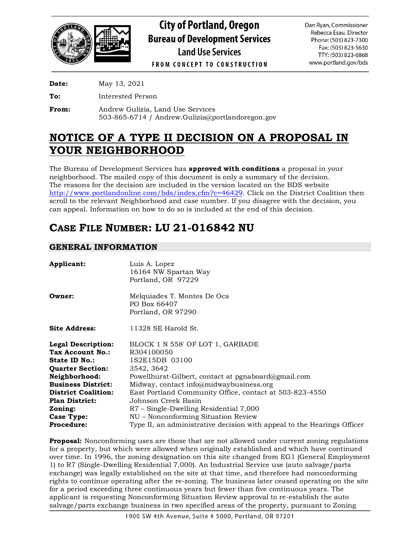

**City of Portland, Oregon Bureau of Development Services Land Use Services** 

Dan Ryan, Commissioner Rebecca Esau, Director Phone: (503) 823-7300 Fax: (503) 823-5630 TTY: (503) 823-6868 www.portland.gov/bds

**FROM CONCEPT TO CONSTRUCTION** 

**Date:** May 13, 2021

**To:** Interested Person

**From:** Andrew Gulizia, Land Use Services 503-865-6714 / Andrew.Gulizia@portlandoregon.gov

# **NOTICE OF A TYPE II DECISION ON A PROPOSAL IN YOUR NEIGHBORHOOD**

The Bureau of Development Services has **approved with conditions** a proposal in your neighborhood. The mailed copy of this document is only a summary of the decision. The reasons for the decision are included in the version located on the BDS website [http://www.portlandonline.com/bds/index.cfm?c=46429.](http://www.portlandonline.com/bds/index.cfm?c=46429) Click on the District Coalition then scroll to the relevant Neighborhood and case number. If you disagree with the decision, you can appeal. Information on how to do so is included at the end of this decision.

# **CASE FILE NUMBER: LU 21-016842 NU**

## **GENERAL INFORMATION**

| <b>Applicant:</b>         | Luis A. Lopez<br>16164 NW Spartan Way<br>Portland, OR 97229             |  |
|---------------------------|-------------------------------------------------------------------------|--|
| <b>Owner:</b>             | Melquiades T. Montes De Oca<br>PO Box 66407<br>Portland, OR 97290       |  |
| <b>Site Address:</b>      | 11328 SE Harold St.                                                     |  |
| <b>Legal Description:</b> | BLOCK 1 N 558' OF LOT 1, GARBADE                                        |  |
| Tax Account No.:          | R304100050                                                              |  |
| <b>State ID No.:</b>      | 1S2E15DB 03100                                                          |  |
| <b>Quarter Section:</b>   | 3542, 3642                                                              |  |
| <b>Neighborhood:</b>      | Powellhurst-Gilbert, contact at pgnaboard@gmail.com                     |  |
| Business District:        | Midway, contact info@midwaybusiness.org                                 |  |
| District Coalition:       | East Portland Community Office, contact at 503-823-4550                 |  |
| Plan District:            | Johnson Creek Basin                                                     |  |
| Zoning:                   | R7 – Single-Dwelling Residential 7,000                                  |  |
| <b>Case Type:</b>         | NU - Nonconforming Situation Review                                     |  |
| Procedure:                | Type II, an administrative decision with appeal to the Hearings Officer |  |
|                           |                                                                         |  |

**Proposal:** Nonconforming uses are those that are not allowed under current zoning regulations for a property, but which were allowed when originally established and which have continued over time. In 1996, the zoning designation on this site changed from EG1 (General Employment 1) to R7 (Single-Dwelling Residential 7,000). An Industrial Service use (auto salvage/parts exchange) was legally established on the site at that time, and therefore had nonconforming rights to continue operating after the re-zoning. The business later ceased operating on the site for a period exceeding three continuous years but fewer than five continuous years. The applicant is requesting Nonconforming Situation Review approval to re-establish the auto salvage/parts exchange business in two specified areas of the property, pursuant to Zoning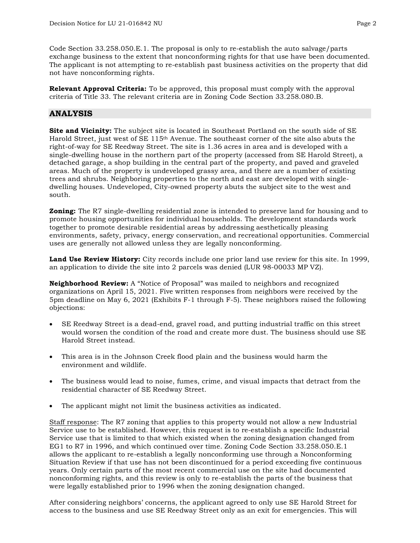Code Section 33.258.050.E.1. The proposal is only to re-establish the auto salvage/parts exchange business to the extent that nonconforming rights for that use have been documented. The applicant is not attempting to re-establish past business activities on the property that did not have nonconforming rights.

**Relevant Approval Criteria:** To be approved, this proposal must comply with the approval criteria of Title 33. The relevant criteria are in Zoning Code Section 33.258.080.B.

## **ANALYSIS**

**Site and Vicinity:** The subject site is located in Southeast Portland on the south side of SE Harold Street, just west of SE 115th Avenue. The southeast corner of the site also abuts the right-of-way for SE Reedway Street. The site is 1.36 acres in area and is developed with a single-dwelling house in the northern part of the property (accessed from SE Harold Street), a detached garage, a shop building in the central part of the property, and paved and graveled areas. Much of the property is undeveloped grassy area, and there are a number of existing trees and shrubs. Neighboring properties to the north and east are developed with singledwelling houses. Undeveloped, City-owned property abuts the subject site to the west and south.

**Zoning:** The R7 single-dwelling residential zone is intended to preserve land for housing and to promote housing opportunities for individual households. The development standards work together to promote desirable residential areas by addressing aesthetically pleasing environments, safety, privacy, energy conservation, and recreational opportunities. Commercial uses are generally not allowed unless they are legally nonconforming.

**Land Use Review History:** City records include one prior land use review for this site. In 1999, an application to divide the site into 2 parcels was denied (LUR 98-00033 MP VZ).

**Neighborhood Review:** A "Notice of Proposal" was mailed to neighbors and recognized organizations on April 15, 2021. Five written responses from neighbors were received by the 5pm deadline on May 6, 2021 (Exhibits F-1 through F-5). These neighbors raised the following objections:

- SE Reedway Street is a dead-end, gravel road, and putting industrial traffic on this street would worsen the condition of the road and create more dust. The business should use SE Harold Street instead.
- This area is in the Johnson Creek flood plain and the business would harm the environment and wildlife.
- The business would lead to noise, fumes, crime, and visual impacts that detract from the residential character of SE Reedway Street.
- The applicant might not limit the business activities as indicated.

Staff response: The R7 zoning that applies to this property would not allow a new Industrial Service use to be established. However, this request is to re-establish a specific Industrial Service use that is limited to that which existed when the zoning designation changed from EG1 to R7 in 1996, and which continued over time. Zoning Code Section 33.258.050.E.1 allows the applicant to re-establish a legally nonconforming use through a Nonconforming Situation Review if that use has not been discontinued for a period exceeding five continuous years. Only certain parts of the most recent commercial use on the site had documented nonconforming rights, and this review is only to re-establish the parts of the business that were legally established prior to 1996 when the zoning designation changed.

After considering neighbors' concerns, the applicant agreed to only use SE Harold Street for access to the business and use SE Reedway Street only as an exit for emergencies. This will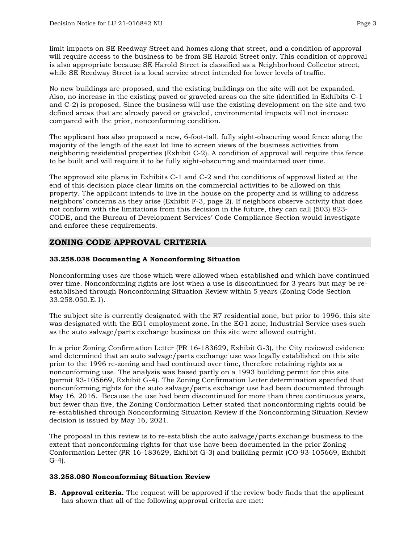limit impacts on SE Reedway Street and homes along that street, and a condition of approval will require access to the business to be from SE Harold Street only. This condition of approval is also appropriate because SE Harold Street is classified as a Neighborhood Collector street, while SE Reedway Street is a local service street intended for lower levels of traffic.

No new buildings are proposed, and the existing buildings on the site will not be expanded. Also, no increase in the existing paved or graveled areas on the site (identified in Exhibits C-1 and C-2) is proposed. Since the business will use the existing development on the site and two defined areas that are already paved or graveled, environmental impacts will not increase compared with the prior, nonconforming condition.

The applicant has also proposed a new, 6-foot-tall, fully sight-obscuring wood fence along the majority of the length of the east lot line to screen views of the business activities from neighboring residential properties (Exhibit C-2). A condition of approval will require this fence to be built and will require it to be fully sight-obscuring and maintained over time.

The approved site plans in Exhibits C-1 and C-2 and the conditions of approval listed at the end of this decision place clear limits on the commercial activities to be allowed on this property. The applicant intends to live in the house on the property and is willing to address neighbors' concerns as they arise (Exhibit F-3, page 2). If neighbors observe activity that does not conform with the limitations from this decision in the future, they can call (503) 823- CODE, and the Bureau of Development Services' Code Compliance Section would investigate and enforce these requirements.

## **ZONING CODE APPROVAL CRITERIA**

## **33.258.038 Documenting A Nonconforming Situation**

Nonconforming uses are those which were allowed when established and which have continued over time. Nonconforming rights are lost when a use is discontinued for 3 years but may be reestablished through Nonconforming Situation Review within 5 years (Zoning Code Section 33.258.050.E.1).

The subject site is currently designated with the R7 residential zone, but prior to 1996, this site was designated with the EG1 employment zone. In the EG1 zone, Industrial Service uses such as the auto salvage/parts exchange business on this site were allowed outright.

In a prior Zoning Confirmation Letter (PR 16-183629, Exhibit G-3), the City reviewed evidence and determined that an auto salvage/parts exchange use was legally established on this site prior to the 1996 re-zoning and had continued over time, therefore retaining rights as a nonconforming use. The analysis was based partly on a 1993 building permit for this site (permit 93-105669, Exhibit G-4). The Zoning Confirmation Letter determination specified that nonconforming rights for the auto salvage/parts exchange use had been documented through May 16, 2016. Because the use had been discontinued for more than three continuous years, but fewer than five, the Zoning Conformation Letter stated that nonconforming rights could be re-established through Nonconforming Situation Review if the Nonconforming Situation Review decision is issued by May 16, 2021.

The proposal in this review is to re-establish the auto salvage/parts exchange business to the extent that nonconforming rights for that use have been documented in the prior Zoning Conformation Letter (PR 16-183629, Exhibit G-3) and building permit (CO 93-105669, Exhibit G-4).

#### **33.258.080 Nonconforming Situation Review**

**B. Approval criteria.** The request will be approved if the review body finds that the applicant has shown that all of the following approval criteria are met: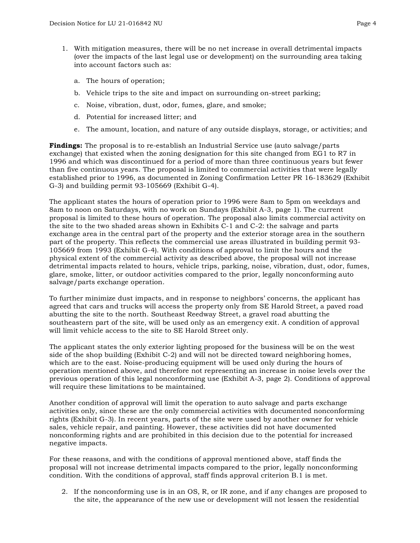- 1. With mitigation measures, there will be no net increase in overall detrimental impacts (over the impacts of the last legal use or development) on the surrounding area taking into account factors such as:
	- a. The hours of operation;
	- b. Vehicle trips to the site and impact on surrounding on-street parking;
	- c. Noise, vibration, dust, odor, fumes, glare, and smoke;
	- d. Potential for increased litter; and
	- e. The amount, location, and nature of any outside displays, storage, or activities; and

**Findings:** The proposal is to re-establish an Industrial Service use (auto salvage/parts exchange) that existed when the zoning designation for this site changed from EG1 to R7 in 1996 and which was discontinued for a period of more than three continuous years but fewer than five continuous years. The proposal is limited to commercial activities that were legally established prior to 1996, as documented in Zoning Confirmation Letter PR 16-183629 (Exhibit G-3) and building permit 93-105669 (Exhibit G-4).

The applicant states the hours of operation prior to 1996 were 8am to 5pm on weekdays and 8am to noon on Saturdays, with no work on Sundays (Exhibit A-3, page 1). The current proposal is limited to these hours of operation. The proposal also limits commercial activity on the site to the two shaded areas shown in Exhibits C-1 and C-2: the salvage and parts exchange area in the central part of the property and the exterior storage area in the southern part of the property. This reflects the commercial use areas illustrated in building permit 93- 105669 from 1993 (Exhibit G-4). With conditions of approval to limit the hours and the physical extent of the commercial activity as described above, the proposal will not increase detrimental impacts related to hours, vehicle trips, parking, noise, vibration, dust, odor, fumes, glare, smoke, litter, or outdoor activities compared to the prior, legally nonconforming auto salvage/parts exchange operation.

To further minimize dust impacts, and in response to neighbors' concerns, the applicant has agreed that cars and trucks will access the property only from SE Harold Street, a paved road abutting the site to the north. Southeast Reedway Street, a gravel road abutting the southeastern part of the site, will be used only as an emergency exit. A condition of approval will limit vehicle access to the site to SE Harold Street only.

The applicant states the only exterior lighting proposed for the business will be on the west side of the shop building (Exhibit C-2) and will not be directed toward neighboring homes, which are to the east. Noise-producing equipment will be used only during the hours of operation mentioned above, and therefore not representing an increase in noise levels over the previous operation of this legal nonconforming use (Exhibit A-3, page 2). Conditions of approval will require these limitations to be maintained.

Another condition of approval will limit the operation to auto salvage and parts exchange activities only, since these are the only commercial activities with documented nonconforming rights (Exhibit G-3). In recent years, parts of the site were used by another owner for vehicle sales, vehicle repair, and painting. However, these activities did not have documented nonconforming rights and are prohibited in this decision due to the potential for increased negative impacts.

For these reasons, and with the conditions of approval mentioned above, staff finds the proposal will not increase detrimental impacts compared to the prior, legally nonconforming condition. With the conditions of approval, staff finds approval criterion B.1 is met.

2. If the nonconforming use is in an OS, R, or IR zone, and if any changes are proposed to the site, the appearance of the new use or development will not lessen the residential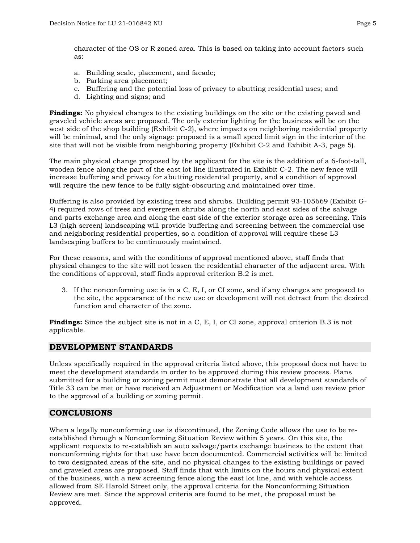character of the OS or R zoned area. This is based on taking into account factors such as:

- a. Building scale, placement, and facade;
- b. Parking area placement;
- c. Buffering and the potential loss of privacy to abutting residential uses; and
- d. Lighting and signs; and

**Findings:** No physical changes to the existing buildings on the site or the existing paved and graveled vehicle areas are proposed. The only exterior lighting for the business will be on the west side of the shop building (Exhibit C-2), where impacts on neighboring residential property will be minimal, and the only signage proposed is a small speed limit sign in the interior of the site that will not be visible from neighboring property (Exhibit C-2 and Exhibit A-3, page 5).

The main physical change proposed by the applicant for the site is the addition of a 6-foot-tall, wooden fence along the part of the east lot line illustrated in Exhibit C-2. The new fence will increase buffering and privacy for abutting residential property, and a condition of approval will require the new fence to be fully sight-obscuring and maintained over time.

Buffering is also provided by existing trees and shrubs. Building permit 93-105669 (Exhibit G-4) required rows of trees and evergreen shrubs along the north and east sides of the salvage and parts exchange area and along the east side of the exterior storage area as screening. This L3 (high screen) landscaping will provide buffering and screening between the commercial use and neighboring residential properties, so a condition of approval will require these L3 landscaping buffers to be continuously maintained.

For these reasons, and with the conditions of approval mentioned above, staff finds that physical changes to the site will not lessen the residential character of the adjacent area. With the conditions of approval, staff finds approval criterion B.2 is met.

3. If the nonconforming use is in a C, E, I, or CI zone, and if any changes are proposed to the site, the appearance of the new use or development will not detract from the desired function and character of the zone.

**Findings:** Since the subject site is not in a C, E, I, or CI zone, approval criterion B.3 is not applicable.

## **DEVELOPMENT STANDARDS**

Unless specifically required in the approval criteria listed above, this proposal does not have to meet the development standards in order to be approved during this review process. Plans submitted for a building or zoning permit must demonstrate that all development standards of Title 33 can be met or have received an Adjustment or Modification via a land use review prior to the approval of a building or zoning permit.

## **CONCLUSIONS**

When a legally nonconforming use is discontinued, the Zoning Code allows the use to be reestablished through a Nonconforming Situation Review within 5 years. On this site, the applicant requests to re-establish an auto salvage/parts exchange business to the extent that nonconforming rights for that use have been documented. Commercial activities will be limited to two designated areas of the site, and no physical changes to the existing buildings or paved and graveled areas are proposed. Staff finds that with limits on the hours and physical extent of the business, with a new screening fence along the east lot line, and with vehicle access allowed from SE Harold Street only, the approval criteria for the Nonconforming Situation Review are met. Since the approval criteria are found to be met, the proposal must be approved.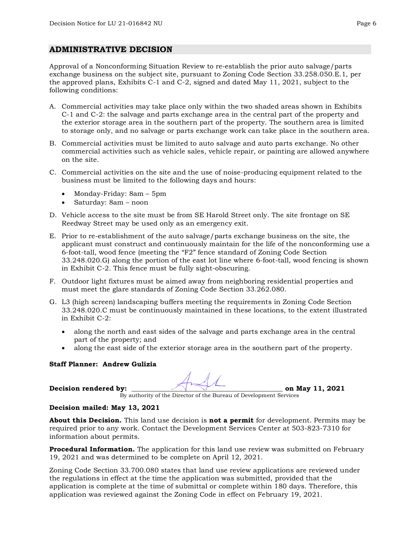## **ADMINISTRATIVE DECISION**

Approval of a Nonconforming Situation Review to re-establish the prior auto salvage/parts exchange business on the subject site, pursuant to Zoning Code Section 33.258.050.E.1, per the approved plans, Exhibits C-1 and C-2, signed and dated May 11, 2021, subject to the following conditions:

- A. Commercial activities may take place only within the two shaded areas shown in Exhibits C-1 and C-2: the salvage and parts exchange area in the central part of the property and the exterior storage area in the southern part of the property. The southern area is limited to storage only, and no salvage or parts exchange work can take place in the southern area.
- B. Commercial activities must be limited to auto salvage and auto parts exchange. No other commercial activities such as vehicle sales, vehicle repair, or painting are allowed anywhere on the site.
- C. Commercial activities on the site and the use of noise-producing equipment related to the business must be limited to the following days and hours:
	- Monday-Friday: 8am 5pm
	- Saturday: 8am noon
- D. Vehicle access to the site must be from SE Harold Street only. The site frontage on SE Reedway Street may be used only as an emergency exit.
- E. Prior to re-establishment of the auto salvage/parts exchange business on the site, the applicant must construct and continuously maintain for the life of the nonconforming use a 6-foot-tall, wood fence (meeting the "F2" fence standard of Zoning Code Section 33.248.020.G) along the portion of the east lot line where 6-foot-tall, wood fencing is shown in Exhibit C-2. This fence must be fully sight-obscuring.
- F. Outdoor light fixtures must be aimed away from neighboring residential properties and must meet the glare standards of Zoning Code Section 33.262.080.
- G. L3 (high screen) landscaping buffers meeting the requirements in Zoning Code Section 33.248.020.C must be continuously maintained in these locations, to the extent illustrated in Exhibit C-2:
	- along the north and east sides of the salvage and parts exchange area in the central part of the property; and
	- along the east side of the exterior storage area in the southern part of the property.

#### **Staff Planner: Andrew Gulizia**

**Decision rendered by: \_\_\_\_\_\_\_\_\_\_\_\_\_\_\_\_\_\_\_\_\_\_\_\_\_\_\_\_\_\_\_\_\_\_\_\_\_\_\_\_\_\_\_\_ on May 11, 2021**

By authority of the Director of the Bureau of Development Services

#### **Decision mailed: May 13, 2021**

**About this Decision.** This land use decision is **not a permit** for development. Permits may be required prior to any work. Contact the Development Services Center at 503-823-7310 for information about permits.

**Procedural Information.** The application for this land use review was submitted on February 19, 2021 and was determined to be complete on April 12, 2021.

Zoning Code Section 33.700.080 states that land use review applications are reviewed under the regulations in effect at the time the application was submitted, provided that the application is complete at the time of submittal or complete within 180 days. Therefore, this application was reviewed against the Zoning Code in effect on February 19, 2021.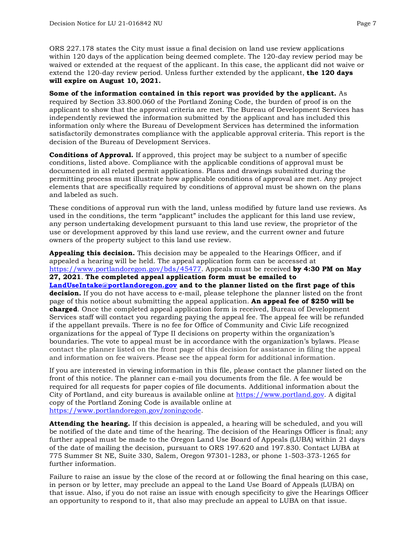ORS 227.178 states the City must issue a final decision on land use review applications within 120 days of the application being deemed complete. The 120-day review period may be waived or extended at the request of the applicant. In this case, the applicant did not waive or extend the 120-day review period. Unless further extended by the applicant, **the 120 days will expire on August 10, 2021.**

**Some of the information contained in this report was provided by the applicant.** As required by Section 33.800.060 of the Portland Zoning Code, the burden of proof is on the applicant to show that the approval criteria are met. The Bureau of Development Services has independently reviewed the information submitted by the applicant and has included this information only where the Bureau of Development Services has determined the information satisfactorily demonstrates compliance with the applicable approval criteria. This report is the decision of the Bureau of Development Services.

**Conditions of Approval.** If approved, this project may be subject to a number of specific conditions, listed above. Compliance with the applicable conditions of approval must be documented in all related permit applications. Plans and drawings submitted during the permitting process must illustrate how applicable conditions of approval are met. Any project elements that are specifically required by conditions of approval must be shown on the plans and labeled as such.

These conditions of approval run with the land, unless modified by future land use reviews. As used in the conditions, the term "applicant" includes the applicant for this land use review, any person undertaking development pursuant to this land use review, the proprietor of the use or development approved by this land use review, and the current owner and future owners of the property subject to this land use review.

**Appealing this decision.** This decision may be appealed to the Hearings Officer, and if appealed a hearing will be held. The appeal application form can be accessed at [https://www.portlandoregon.gov/bds/45477.](https://www.portlandoregon.gov/bds/45477) Appeals must be received **by 4:30 PM on May 27, 2021**. **The completed appeal application form must be emailed to [LandUseIntake@portlandoregon.gov](mailto:LandUseIntake@portlandoregon.gov) and to the planner listed on the first page of this decision.** If you do not have access to e-mail, please telephone the planner listed on the front page of this notice about submitting the appeal application. **An appeal fee of \$250 will be charged**. Once the completed appeal application form is received, Bureau of Development Services staff will contact you regarding paying the appeal fee. The appeal fee will be refunded if the appellant prevails. There is no fee for Office of Community and Civic Life recognized organizations for the appeal of Type II decisions on property within the organization's boundaries. The vote to appeal must be in accordance with the organization's bylaws. Please contact the planner listed on the front page of this decision for assistance in filing the appeal and information on fee waivers. Please see the appeal form for additional information.

If you are interested in viewing information in this file, please contact the planner listed on the front of this notice. The planner can e-mail you documents from the file. A fee would be required for all requests for paper copies of file documents. Additional information about the City of Portland, and city bureaus is available online at [https://www.portland.gov.](https://www.portland.gov/) A digital copy of the Portland Zoning Code is available online at [https://www.portlandoregon.gov/zoningcode.](https://www.portlandoregon.gov/zoningcode)

**Attending the hearing.** If this decision is appealed, a hearing will be scheduled, and you will be notified of the date and time of the hearing. The decision of the Hearings Officer is final; any further appeal must be made to the Oregon Land Use Board of Appeals (LUBA) within 21 days of the date of mailing the decision, pursuant to ORS 197.620 and 197.830. Contact LUBA at 775 Summer St NE, Suite 330, Salem, Oregon 97301-1283, or phone 1-503-373-1265 for further information.

Failure to raise an issue by the close of the record at or following the final hearing on this case, in person or by letter, may preclude an appeal to the Land Use Board of Appeals (LUBA) on that issue. Also, if you do not raise an issue with enough specificity to give the Hearings Officer an opportunity to respond to it, that also may preclude an appeal to LUBA on that issue.